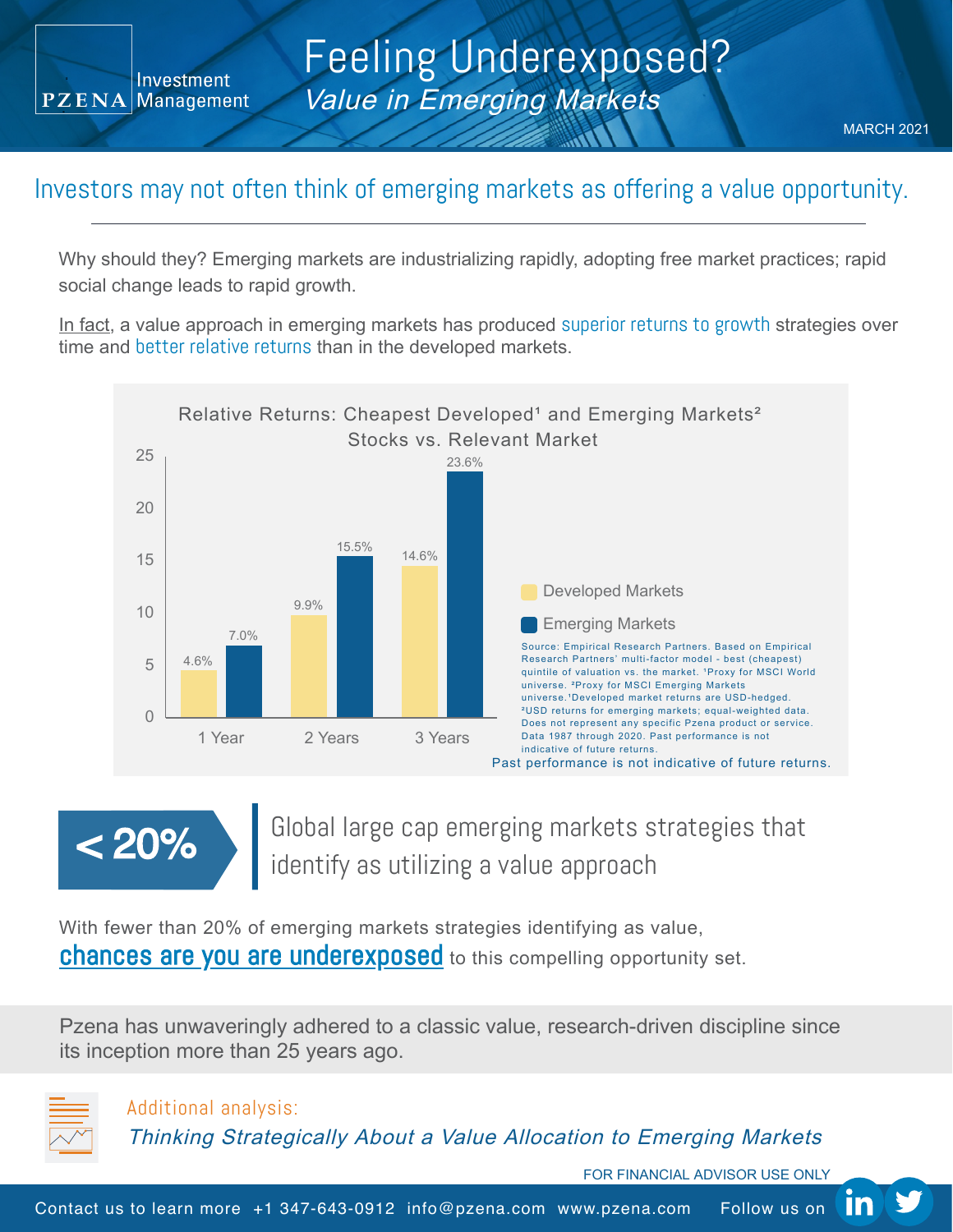Investment PZENA Management

## Feeling Underexposed? Value in Emerging Markets

## Investors may not often think of emerging markets as offering a value opportunity.

Why should they? Emerging markets are industrializing rapidly, adopting free market practices; rapid social change leads to rapid growth.

In fact, a value approach in emerging markets has produced superior returns to growth strategies over time and better relative returns than in the developed markets.



Global large cap emerging markets strategies that identify as utilizing a value approach < 20%

With fewer than 20% of emerging markets strategies identifying as value, chances are you are underexposed to this compelling opportunity set.

Pzena has unwaveringly adhered to a classic value, research-driven discipline since its inception more than 25 years ago.



Additional analysis:

Thinking [Strategically](https://www.pzena.com/thinking-strategically-about-a-value-allocation-to-emerging-markets-fa/) About <sup>a</sup> Value Allocation to Emerging Markets

FOR FINANCIAL ADVISOR USE ONLY